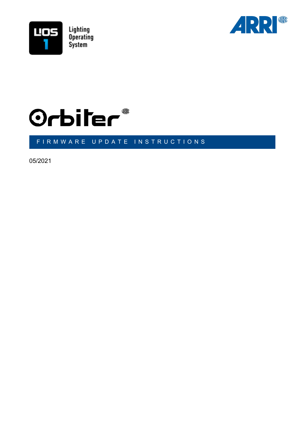





#### FIRMWARE UPDATE INSTRUCTIONS

05/2021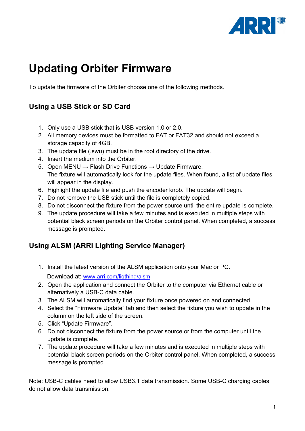

# **Updating Orbiter Firmware**

To update the firmware of the Orbiter choose one of the following methods.

## **Using a USB Stick or SD Card**

- 1. Only use a USB stick that is USB version 1.0 or 2.0.
- 2. All memory devices must be formatted to FAT or FAT32 and should not exceed a storage capacity of 4GB.
- 3. The update file (.swu) must be in the root directory of the drive.
- 4. Insert the medium into the Orbiter.
- 5. Open MENU  $\rightarrow$  Flash Drive Functions  $\rightarrow$  Update Firmware. The fixture will automatically look for the update files. When found, a list of update files will appear in the display.
- 6. Highlight the update file and push the encoder knob. The update will begin.
- 7. Do not remove the USB stick until the file is completely copied.
- 8. Do not disconnect the fixture from the power source until the entire update is complete.
- 9. The update procedure will take a few minutes and is executed in multiple steps with potential black screen periods on the Orbiter control panel. When completed, a success message is prompted.

### **Using ALSM (ARRI Lighting Service Manager)**

- 1. Install the latest version of the ALSM application onto your Mac or PC. Download at: [www.arri.com/ligthing/alsm](http://www.arri.com/ligthing/alsm)
- 2. Open the application and connect the Orbiter to the computer via Ethernet cable or alternatively a USB-C data cable.
- 3. The ALSM will automatically find your fixture once powered on and connected.
- 4. Select the "Firmware Update" tab and then select the fixture you wish to update in the column on the left side of the screen.
- 5. Click "Update Firmware".
- 6. Do not disconnect the fixture from the power source or from the computer until the update is complete.
- 7. The update procedure will take a few minutes and is executed in multiple steps with potential black screen periods on the Orbiter control panel. When completed, a success message is prompted.

Note: USB-C cables need to allow USB3.1 data transmission. Some USB-C charging cables do not allow data transmission.